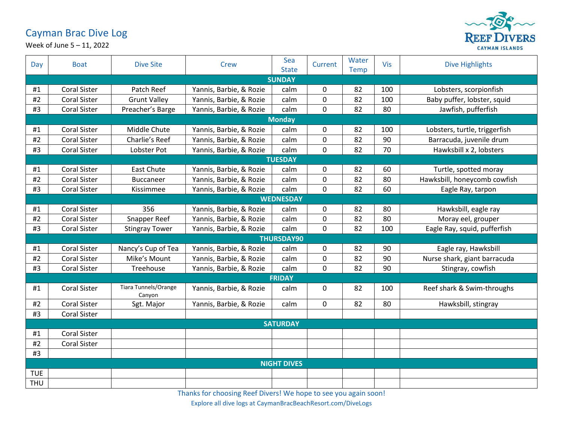## Cayman Brac Dive Log



Week of June 5 – 11, 2022

| Day             | <b>Boat</b>         | <b>Dive Site</b>               | <b>Crew</b>             | Sea<br><b>State</b> | Current     | Water<br><b>Temp</b> | <b>Vis</b> | <b>Dive Highlights</b>        |  |
|-----------------|---------------------|--------------------------------|-------------------------|---------------------|-------------|----------------------|------------|-------------------------------|--|
| <b>SUNDAY</b>   |                     |                                |                         |                     |             |                      |            |                               |  |
| #1              | <b>Coral Sister</b> | Patch Reef                     | Yannis, Barbie, & Rozie | calm                | $\mathbf 0$ | 82                   | 100        | Lobsters, scorpionfish        |  |
| #2              | <b>Coral Sister</b> | <b>Grunt Valley</b>            | Yannis, Barbie, & Rozie | calm                | 0           | 82                   | 100        | Baby puffer, lobster, squid   |  |
| #3              | <b>Coral Sister</b> | Preacher's Barge               | Yannis, Barbie, & Rozie | calm                | $\mathbf 0$ | 82                   | 80         | Jawfish, pufferfish           |  |
| <b>Monday</b>   |                     |                                |                         |                     |             |                      |            |                               |  |
| #1              | <b>Coral Sister</b> | Middle Chute                   | Yannis, Barbie, & Rozie | calm                | $\mathbf 0$ | 82                   | 100        | Lobsters, turtle, triggerfish |  |
| #2              | <b>Coral Sister</b> | Charlie's Reef                 | Yannis, Barbie, & Rozie | calm                | 0           | 82                   | 90         | Barracuda, juvenile drum      |  |
| #3              | <b>Coral Sister</b> | Lobster Pot                    | Yannis, Barbie, & Rozie | calm                | $\pmb{0}$   | 82                   | 70         | Hawksbill x 2, lobsters       |  |
| <b>TUESDAY</b>  |                     |                                |                         |                     |             |                      |            |                               |  |
| #1              | <b>Coral Sister</b> | <b>East Chute</b>              | Yannis, Barbie, & Rozie | calm                | $\mathbf 0$ | 82                   | 60         | Turtle, spotted moray         |  |
| #2              | <b>Coral Sister</b> | <b>Buccaneer</b>               | Yannis, Barbie, & Rozie | calm                | 0           | 82                   | 80         | Hawksbill, honeycomb cowfish  |  |
| #3              | <b>Coral Sister</b> | Kissimmee                      | Yannis, Barbie, & Rozie | calm                | $\mathbf 0$ | 82                   | 60         | Eagle Ray, tarpon             |  |
|                 |                     |                                |                         | <b>WEDNESDAY</b>    |             |                      |            |                               |  |
| #1              | <b>Coral Sister</b> | 356                            | Yannis, Barbie, & Rozie | calm                | $\mathbf 0$ | 82                   | 80         | Hawksbill, eagle ray          |  |
| #2              | <b>Coral Sister</b> | Snapper Reef                   | Yannis, Barbie, & Rozie | calm                | $\pmb{0}$   | 82                   | 80         | Moray eel, grouper            |  |
| #3              | Coral Sister        | <b>Stingray Tower</b>          | Yannis, Barbie, & Rozie | calm                | $\pmb{0}$   | 82                   | 100        | Eagle Ray, squid, pufferfish  |  |
|                 |                     |                                |                         | <b>THURSDAY90</b>   |             |                      |            |                               |  |
| #1              | <b>Coral Sister</b> | Nancy's Cup of Tea             | Yannis, Barbie, & Rozie | calm                | 0           | 82                   | 90         | Eagle ray, Hawksbill          |  |
| #2              | <b>Coral Sister</b> | Mike's Mount                   | Yannis, Barbie, & Rozie | calm                | $\mathbf 0$ | 82                   | 90         | Nurse shark, giant barracuda  |  |
| #3              | <b>Coral Sister</b> | Treehouse                      | Yannis, Barbie, & Rozie | calm                | $\mathbf 0$ | 82                   | 90         | Stingray, cowfish             |  |
|                 | <b>FRIDAY</b>       |                                |                         |                     |             |                      |            |                               |  |
| #1              | <b>Coral Sister</b> | Tiara Tunnels/Orange<br>Canyon | Yannis, Barbie, & Rozie | calm                | 0           | 82                   | 100        | Reef shark & Swim-throughs    |  |
| #2              | <b>Coral Sister</b> | Sgt. Major                     | Yannis, Barbie, & Rozie | calm                | $\mathbf 0$ | 82                   | 80         | Hawksbill, stingray           |  |
| #3              | <b>Coral Sister</b> |                                |                         |                     |             |                      |            |                               |  |
| <b>SATURDAY</b> |                     |                                |                         |                     |             |                      |            |                               |  |
| #1              | <b>Coral Sister</b> |                                |                         |                     |             |                      |            |                               |  |
| #2              | <b>Coral Sister</b> |                                |                         |                     |             |                      |            |                               |  |
| #3              |                     |                                |                         |                     |             |                      |            |                               |  |
|                 | <b>NIGHT DIVES</b>  |                                |                         |                     |             |                      |            |                               |  |
| <b>TUE</b>      |                     |                                |                         |                     |             |                      |            |                               |  |
| <b>THU</b>      |                     |                                |                         |                     |             |                      |            |                               |  |

Thanks for choosing Reef Divers! We hope to see you again soon!

Explore all dive logs at CaymanBracBeachResort.com/DiveLogs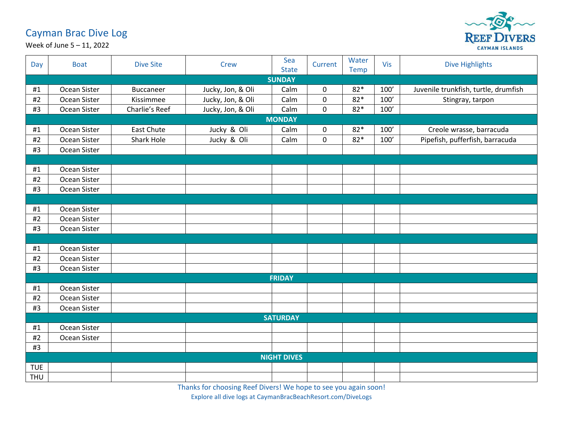## Cayman Brac Dive Log



Week of June 5 – 11, 2022

| Day        | <b>Boat</b>        | <b>Dive Site</b>  | Crew              | Sea<br><b>State</b> | Current     | Water<br><b>Temp</b> | Vis  | <b>Dive Highlights</b>               |  |  |
|------------|--------------------|-------------------|-------------------|---------------------|-------------|----------------------|------|--------------------------------------|--|--|
|            | <b>SUNDAY</b>      |                   |                   |                     |             |                      |      |                                      |  |  |
| #1         | Ocean Sister       | Buccaneer         | Jucky, Jon, & Oli | Calm                | 0           | $82*$                | 100' | Juvenile trunkfish, turtle, drumfish |  |  |
| $\#2$      | Ocean Sister       | Kissimmee         | Jucky, Jon, & Oli | Calm                | 0           | $82*$                | 100' | Stingray, tarpon                     |  |  |
| #3         | Ocean Sister       | Charlie's Reef    | Jucky, Jon, & Oli | Calm                | $\mathbf 0$ | $82*$                | 100' |                                      |  |  |
|            | <b>MONDAY</b>      |                   |                   |                     |             |                      |      |                                      |  |  |
| #1         | Ocean Sister       | <b>East Chute</b> | Jucky & Oli       | Calm                | 0           | $82*$                | 100' | Creole wrasse, barracuda             |  |  |
| #2         | Ocean Sister       | Shark Hole        | Jucky & Oli       | Calm                | $\mathbf 0$ | $82*$                | 100' | Pipefish, pufferfish, barracuda      |  |  |
| #3         | Ocean Sister       |                   |                   |                     |             |                      |      |                                      |  |  |
|            |                    |                   |                   |                     |             |                      |      |                                      |  |  |
| #1         | Ocean Sister       |                   |                   |                     |             |                      |      |                                      |  |  |
| $\#2$      | Ocean Sister       |                   |                   |                     |             |                      |      |                                      |  |  |
| #3         | Ocean Sister       |                   |                   |                     |             |                      |      |                                      |  |  |
|            |                    |                   |                   |                     |             |                      |      |                                      |  |  |
| #1         | Ocean Sister       |                   |                   |                     |             |                      |      |                                      |  |  |
| #2         | Ocean Sister       |                   |                   |                     |             |                      |      |                                      |  |  |
| #3         | Ocean Sister       |                   |                   |                     |             |                      |      |                                      |  |  |
|            |                    |                   |                   |                     |             |                      |      |                                      |  |  |
| #1         | Ocean Sister       |                   |                   |                     |             |                      |      |                                      |  |  |
| #2         | Ocean Sister       |                   |                   |                     |             |                      |      |                                      |  |  |
| #3         | Ocean Sister       |                   |                   |                     |             |                      |      |                                      |  |  |
|            |                    |                   |                   | <b>FRIDAY</b>       |             |                      |      |                                      |  |  |
| #1         | Ocean Sister       |                   |                   |                     |             |                      |      |                                      |  |  |
| #2         | Ocean Sister       |                   |                   |                     |             |                      |      |                                      |  |  |
| #3         | Ocean Sister       |                   |                   |                     |             |                      |      |                                      |  |  |
|            |                    |                   |                   | <b>SATURDAY</b>     |             |                      |      |                                      |  |  |
| #1         | Ocean Sister       |                   |                   |                     |             |                      |      |                                      |  |  |
| $\#2$      | Ocean Sister       |                   |                   |                     |             |                      |      |                                      |  |  |
| #3         |                    |                   |                   |                     |             |                      |      |                                      |  |  |
|            | <b>NIGHT DIVES</b> |                   |                   |                     |             |                      |      |                                      |  |  |
| <b>TUE</b> |                    |                   |                   |                     |             |                      |      |                                      |  |  |
| THU        |                    |                   |                   |                     |             |                      |      |                                      |  |  |

Thanks for choosing Reef Divers! We hope to see you again soon!

Explore all dive logs at CaymanBracBeachResort.com/DiveLogs